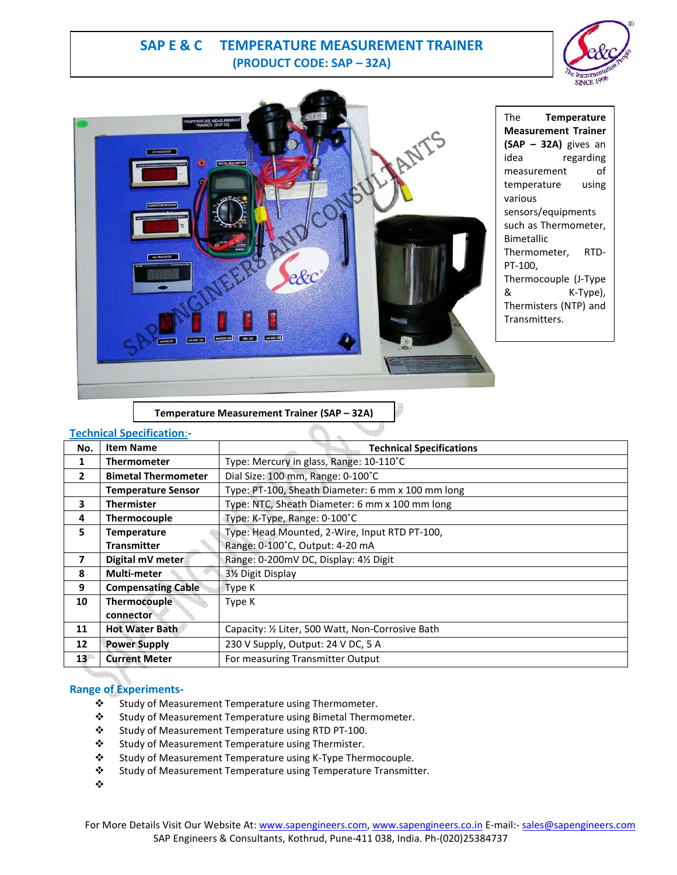# **SAP E & C TEMPERATURE MEASUREMENT TRAINER (PRODUCT CODE: SAP – 32A)**





The **Temperature Measurement Trainer (SAP – 32A)** gives an idea regarding measurement of temperature using various sensors/equipments such as Thermometer, Bimetallic Thermometer, RTD-PT-100, Thermocouple (J-Type & K-Type), Thermisters (NTP) and Transmitters.

**Temperature Measurement Trainer (SAP – 32A)**

ď

### **Technical Specification**:-

| No.             | <b>Item Name</b>           | <b>Technical Specifications</b>                   |
|-----------------|----------------------------|---------------------------------------------------|
| 1               | <b>Thermometer</b>         | Type: Mercury in glass, Range: 10-110°C           |
| $\mathbf{2}$    | <b>Bimetal Thermometer</b> | Dial Size: 100 mm, Range: 0-100°C                 |
|                 | <b>Temperature Sensor</b>  | Type: PT-100, Sheath Diameter: 6 mm x 100 mm long |
| 3               | <b>Thermister</b>          | Type: NTC, Sheath Diameter: 6 mm x 100 mm long    |
| 4               | Thermocouple               | Type: K-Type, Range: 0-100°C                      |
| 5.              | <b>Temperature</b>         | Type: Head Mounted, 2-Wire, Input RTD PT-100,     |
|                 | <b>Transmitter</b>         | Range: 0-100°C, Output: 4-20 mA                   |
| 7               | Digital mV meter           | Range: 0-200mV DC, Display: 41/2 Digit            |
| 8               | <b>Multi-meter</b>         | 3½ Digit Display                                  |
| 9               | <b>Compensating Cable</b>  | Type K                                            |
| 10              | Thermocouple               | Type K                                            |
|                 | connector                  |                                                   |
| 11              | <b>Hot Water Bath</b>      | Capacity: 1/2 Liter, 500 Watt, Non-Corrosive Bath |
| 12              | <b>Power Supply</b>        | 230 V Supply, Output: 24 V DC, 5 A                |
| 13 <sup>1</sup> | <b>Current Meter</b>       | For measuring Transmitter Output                  |

### **Range of Experiments-**

- \* Study of Measurement Temperature using Thermometer.
- Study of Measurement Temperature using Bimetal Thermometer.
- Study of Measurement Temperature using RTD PT-100.
- Study of Measurement Temperature using Thermister.
- Study of Measurement Temperature using K-Type Thermocouple.
- Study of Measurement Temperature using Temperature Transmitter.
- $\mathbf{r}^{\star}_{\bullet}$

<sup>d</sup>erritor